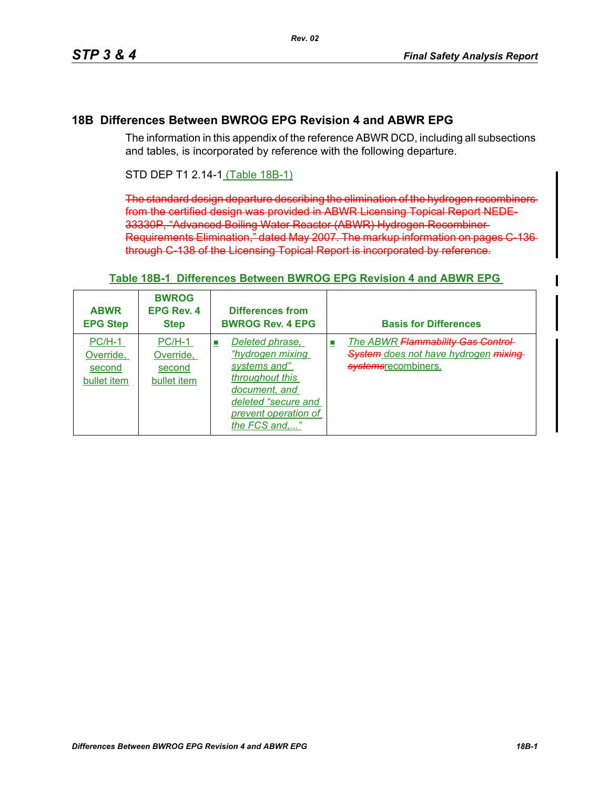# **18B Differences Between BWROG EPG Revision 4 and ABWR EPG**

The information in this appendix of the reference ABWR DCD, including all subsections and tables, is incorporated by reference with the following departure.

# STD DEP T1 2.14-1 (Table 18B-1)

The standard design departure describing the elimination of the hydrogen recombiners from the certified design was provided in ABWR Licensing Topical Report NEDE-33330P, "Advanced Boiling Water Reactor (ABWR) Hydrogen Recombiner Requirements Elimination," dated May 2007. The markup information on pages through C-138 of the Licensing Topical Report is incorporated by reference.

| <b>ABWR</b><br><b>EPG Step</b>                 | <b>BWROG</b><br><b>EPG Rev. 4</b><br><b>Step</b> | <b>Differences from</b><br><b>BWROG Rev. 4 EPG</b>                                                                                                                                     | <b>Basis for Differences</b>                                                                           |  |
|------------------------------------------------|--------------------------------------------------|----------------------------------------------------------------------------------------------------------------------------------------------------------------------------------------|--------------------------------------------------------------------------------------------------------|--|
| $PC/H-1$<br>Override,<br>second<br>bullet item | $PC/H-1$<br>Override,<br>second<br>bullet item   | Deleted phrase,<br>$\mathcal{L}_{\mathcal{A}}$<br>"hydrogen mixing<br>systems and"<br>throughout this<br>document, and<br>deleted "secure and<br>prevent operation of<br>the FCS and," | The ABWR Flammability Gas Control<br>×.<br>System does not have hydrogen mixing<br>systemsrecombiners. |  |

#### **Table 18B-1 Differences Between BWROG EPG Revision 4 and ABWR EPG**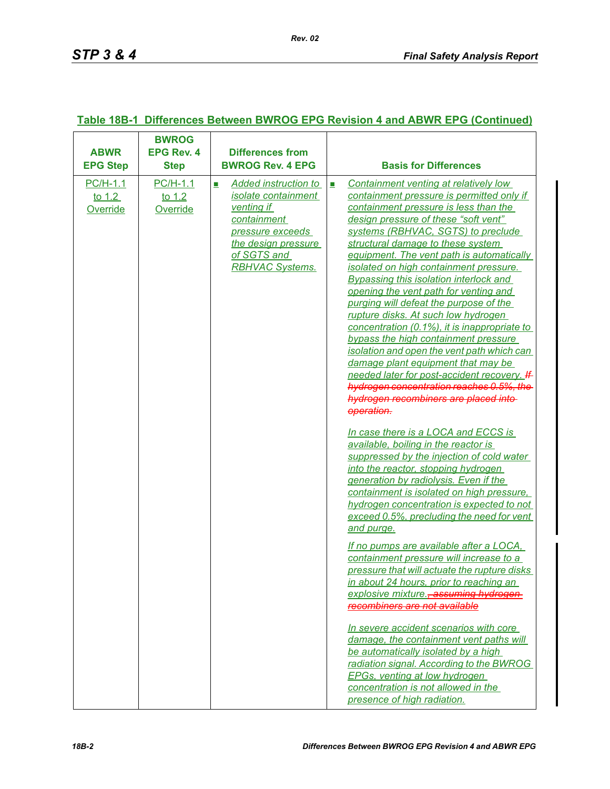| <b>ABWR</b><br><b>EPG Step</b>     | <b>BWROG</b><br><b>EPG Rev. 4</b><br><b>Step</b> | <b>Differences from</b><br><b>BWROG Rev. 4 EPG</b>                                                                                                                       | <b>Basis for Differences</b>                                                                                                                                                                                                                                                                                                                                                                                                                                                                                                                                                                                                                                                                                                                                                                                                                                                                                                                                                                                                                                                                                                                                                                                                                   |
|------------------------------------|--------------------------------------------------|--------------------------------------------------------------------------------------------------------------------------------------------------------------------------|------------------------------------------------------------------------------------------------------------------------------------------------------------------------------------------------------------------------------------------------------------------------------------------------------------------------------------------------------------------------------------------------------------------------------------------------------------------------------------------------------------------------------------------------------------------------------------------------------------------------------------------------------------------------------------------------------------------------------------------------------------------------------------------------------------------------------------------------------------------------------------------------------------------------------------------------------------------------------------------------------------------------------------------------------------------------------------------------------------------------------------------------------------------------------------------------------------------------------------------------|
| $PC/H-1.1$<br>to $1.2$<br>Override | <b>PC/H-1.1</b><br>to $1.2$<br>Override          | <b>Added instruction to</b><br>E<br>isolate containment<br>venting if<br>containment<br>pressure exceeds<br>the design pressure<br>of SGTS and<br><b>RBHVAC Systems.</b> | Containment venting at relatively low<br>$\mathcal{L}_{\mathcal{A}}$<br>containment pressure is permitted only if<br>containment pressure is less than the<br>design pressure of these "soft vent"<br>systems (RBHVAC, SGTS) to preclude<br>structural damage to these system<br>equipment. The vent path is automatically<br>isolated on high containment pressure.<br><b>Bypassing this isolation interlock and</b><br>opening the vent path for venting and<br>purging will defeat the purpose of the<br>rupture disks. At such low hydrogen<br>concentration (0.1%), it is inappropriate to<br>bypass the high containment pressure<br>isolation and open the vent path which can<br>damage plant equipment that may be<br>needed later for post-accident recovery. If<br>hydrogen concentration reaches 0.5%, the<br>hydrogen recombiners are placed into-<br>operation.<br>In case there is a LOCA and ECCS is<br>available, boiling in the reactor is<br>suppressed by the injection of cold water<br>into the reactor, stopping hydrogen<br>generation by radiolysis. Even if the<br>containment is isolated on high pressure,<br>hydrogen concentration is expected to not<br>exceed 0.5%, precluding the need for vent<br>and purge. |
|                                    |                                                  |                                                                                                                                                                          | If no pumps are available after a LOCA,<br>containment pressure will increase to a<br>pressure that will actuate the rupture disks<br>in about 24 hours, prior to reaching an<br>explosive mixture., assuming hydrogen<br>recombiners are not available<br>In severe accident scenarios with core<br>damage, the containment vent paths will<br>be automatically isolated by a high<br>radiation signal. According to the BWROG<br><b>EPGs, venting at low hydrogen</b><br>concentration is not allowed in the<br>presence of high radiation.                                                                                                                                                                                                                                                                                                                                                                                                                                                                                                                                                                                                                                                                                                  |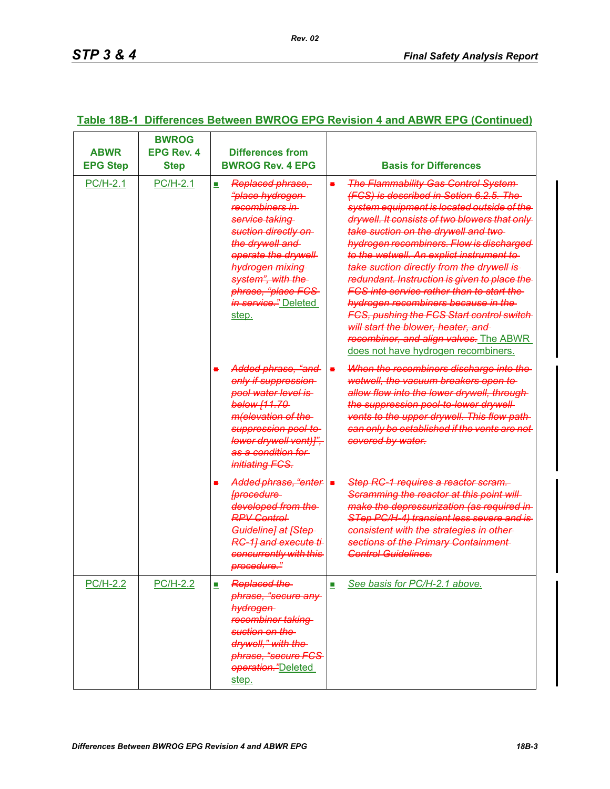| <b>ABWR</b><br><b>EPG Step</b> | <b>BWROG</b><br><b>EPG Rev. 4</b><br><b>Step</b> | <b>Differences from</b><br><b>BWROG Rev. 4 EPG</b>                                                                                                                                                                                                                       | <b>Basis for Differences</b>                                                                                                                                                                                                                                                                                                                                                                                                                                                                                                                                                                                                                                                                   |
|--------------------------------|--------------------------------------------------|--------------------------------------------------------------------------------------------------------------------------------------------------------------------------------------------------------------------------------------------------------------------------|------------------------------------------------------------------------------------------------------------------------------------------------------------------------------------------------------------------------------------------------------------------------------------------------------------------------------------------------------------------------------------------------------------------------------------------------------------------------------------------------------------------------------------------------------------------------------------------------------------------------------------------------------------------------------------------------|
| <b>PC/H-2.1</b>                | <b>PC/H-2.1</b>                                  | Replaced phrase,<br>$\mathcal{L}_{\mathcal{A}}$<br>"place hydrogen-<br>recombiners in<br>service taking<br>suction directly on<br>the drywell and<br>operate the drywell<br>hydrogen mixing<br>system", with the<br>phrase, "place FCS-<br>in service." Deleted<br>step. | <b>The Flammability Gas Control System-</b><br>$\blacksquare$<br>(FCS) is described in Setion 6.2.5. The<br>system equipment is located outside of the<br>drywell. It consists of two blowers that only<br>take suction on the drywell and two-<br>hydrogen recombiners. Flow is discharged<br>to the wetwell. An explict instrument to<br>take suction directly from the drywell is-<br>redundant. Instruction is given to place the<br>FCS into service rather than to start the<br>hydrogen recombiners because in the<br>FCS, pushing the FCS Start control switch-<br>will start the blower, heater, and<br>recombiner, and align valves. The ABWR<br>does not have hydrogen recombiners. |
|                                |                                                  | Added phrase, "and-<br>only if suppression<br>pool water level is<br>below [11.70-<br>m(elevation of the<br>suppression pool-to-<br>lower drywell vent)]",<br>as a condition for<br>initiating FCS.                                                                      | When the recombiners discharge into the<br>$\blacksquare$<br>wetwell, the vacuum breakers open to<br>allow flow into the lower drywell, through-<br>the suppression pool-to-lower drywell-<br>vents to the upper drywell. This flow path-<br>can only be established if the vents are not<br>covered by water.                                                                                                                                                                                                                                                                                                                                                                                 |
|                                |                                                  | Added phrase, "enter =<br><b>[procedure</b><br>developed from the<br><b>RPV Control-</b><br>Guideline] at [Step-<br>RC-11 and execute ti-<br>concurrently with this<br>procedure."                                                                                       | Step RC-1 requires a reactor scram.<br>Scramming the reactor at this point will<br>make the depressurization (as required in<br>STep PC/H-4) transient less severe and is<br>consistent with the strategies in other-<br>sections of the Primary Containment<br><b>Control Guidelines.</b>                                                                                                                                                                                                                                                                                                                                                                                                     |
| <b>PC/H-2.2</b>                | <b>PC/H-2.2</b>                                  | Replaced the<br>phrase, "secure any<br>hydrogen<br>recombiner taking<br>suction on the<br>drywell," with the<br>phrase, "secure FCS-<br>operation."Deleted<br>step.                                                                                                      | See basis for PC/H-2.1 above.<br>$\mathcal{C}$                                                                                                                                                                                                                                                                                                                                                                                                                                                                                                                                                                                                                                                 |

### **Table 18B-1 Differences Between BWROG EPG Revision 4 and ABWR EPG (Continued)**